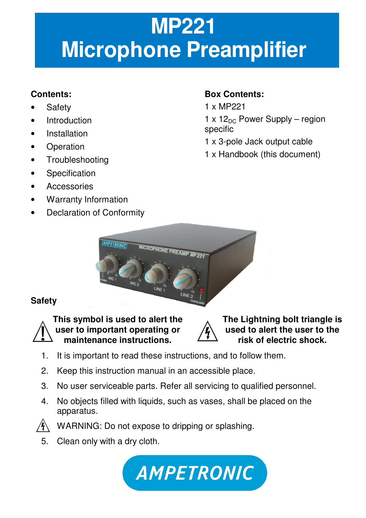# **MP221 Microphone Preamplifier**

# **Contents:**

- **Safety**
- **Introduction**
- **Installation**
- **Operation**
- Troubleshooting
- Specification
- **Accessories**
- Warranty Information
- Declaration of Conformity

# **Box Contents:**

- 1 x MP221
- $1 \times 12_{DC}$  Power Supply region specific
- 1 x 3-pole Jack output cable
- 1 x Handbook (this document)



# **Safety**



**This symbol is used to alert the user to important operating or maintenance instructions.**



**The Lightning bolt triangle is used to alert the user to the risk of electric shock.**

- 1. It is important to read these instructions, and to follow them.
- 2. Keep this instruction manual in an accessible place.
- 3. No user serviceable parts. Refer all servicing to qualified personnel.
- 4. No objects filled with liquids, such as vases, shall be placed on the apparatus.



WARNING: Do not expose to dripping or splashing.

5. Clean only with a dry cloth.

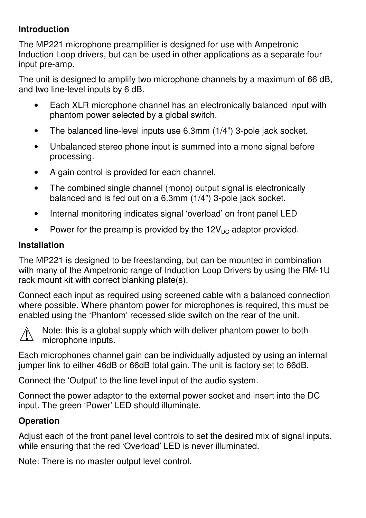#### **Introduction**

The MP221 microphone preamplifier is designed for use with Ampetronic Induction Loop drivers, but can be used in other applications as a separate four input pre-amp.

The unit is designed to amplify two microphone channels by a maximum of 66 dB, and two line-level inputs by 6 dB.

- Each XLR microphone channel has an electronically balanced input with phantom power selected by a global switch.
- The balanced line-level inputs use 6.3mm (1/4") 3-pole jack socket.
- Unbalanced stereo phone input is summed into a mono signal before processing.
- A gain control is provided for each channel.
- The combined single channel (mono) output signal is electronically balanced and is fed out on a 6.3mm (1/4") 3-pole jack socket.
- Internal monitoring indicates signal 'overload' on front panel LED
- Power for the preamp is provided by the  $12V_{DC}$  adaptor provided.

#### **Installation**

The MP221 is designed to be freestanding, but can be mounted in combination with many of the Ampetronic range of Induction Loop Drivers by using the RM-1U rack mount kit with correct blanking plate(s).

Connect each input as required using screened cable with a balanced connection where possible. Where phantom power for microphones is required, this must be enabled using the 'Phantom' recessed slide switch on the rear of the unit.



Note: this is a global supply which with deliver phantom power to both microphone inputs.

Each microphones channel gain can be individually adjusted by using an internal jumper link to either 46dB or 66dB total gain. The unit is factory set to 66dB.

Connect the 'Output' to the line level input of the audio system.

Connect the power adaptor to the external power socket and insert into the DC input. The green 'Power' LED should illuminate.

## **Operation**

Adjust each of the front panel level controls to set the desired mix of signal inputs, while ensuring that the red 'Overload' LED is never illuminated.

Note: There is no master output level control.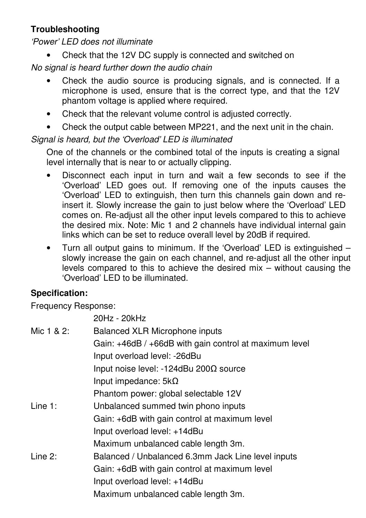# **Troubleshooting**

'Power' LED does not illuminate

• Check that the 12V DC supply is connected and switched on

## No signal is heard further down the audio chain

- Check the audio source is producing signals, and is connected. If a microphone is used, ensure that is the correct type, and that the 12V phantom voltage is applied where required.
- Check that the relevant volume control is adjusted correctly.
- Check the output cable between MP221, and the next unit in the chain.

## Signal is heard, but the 'Overload' LED is illuminated

One of the channels or the combined total of the inputs is creating a signal level internally that is near to or actually clipping.

- Disconnect each input in turn and wait a few seconds to see if the 'Overload' LED goes out. If removing one of the inputs causes the 'Overload' LED to extinguish, then turn this channels gain down and reinsert it. Slowly increase the gain to just below where the 'Overload' LED comes on. Re-adjust all the other input levels compared to this to achieve the desired mix. Note: Mic 1 and 2 channels have individual internal gain links which can be set to reduce overall level by 20dB if required.
- Turn all output gains to minimum. If the 'Overload' LED is extinguished slowly increase the gain on each channel, and re-adjust all the other input levels compared to this to achieve the desired mix – without causing the 'Overload' LED to be illuminated.

# **Specification:**

Frequency Response:

20Hz - 20kHz

| Mic 1 & 2: | Balanced XLR Microphone inputs                         |
|------------|--------------------------------------------------------|
|            | Gain: +46dB / +66dB with gain control at maximum level |
|            | Input overload level: - 26dBu                          |
|            | Input noise level: -124dBu 200Ω source                 |
|            | Input impedance: $5k\Omega$                            |
|            | Phantom power: global selectable 12V                   |
| Line $1:$  | Unbalanced summed twin phono inputs                    |
|            | Gain: +6dB with gain control at maximum level          |
|            | Input overload level: +14dBu                           |
|            | Maximum unbalanced cable length 3m.                    |
| Line 2:    | Balanced / Unbalanced 6.3mm Jack Line level inputs     |
|            | Gain: +6dB with gain control at maximum level          |
|            | Input overload level: +14dBu                           |
|            | Maximum unbalanced cable length 3m.                    |
|            |                                                        |